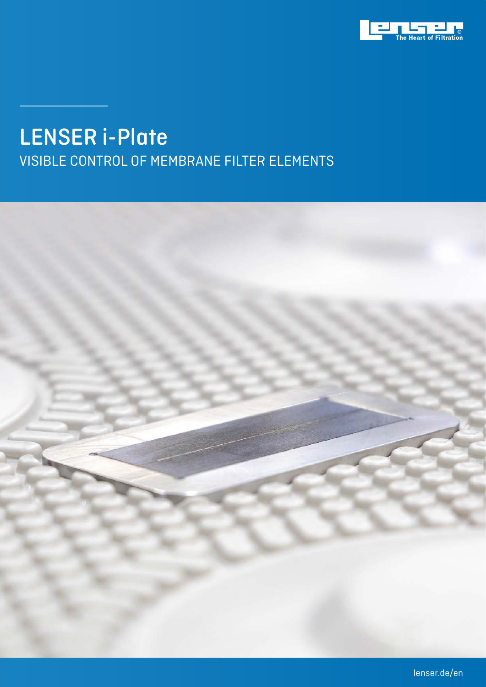

## LENSER i-Plate

VISIBLE CONTROL OF MEMBRANE FILTER ELEMENTS

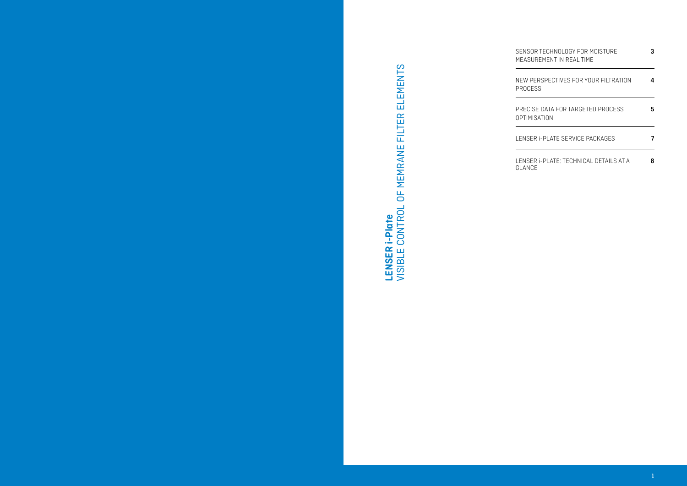| SENSOR TECHNOLOGY FOR MOISTURE<br>MEASUREMENT IN REAL TIME | 3 |
|------------------------------------------------------------|---|
| NEW PERSPECTIVES FOR YOUR FILTRATION<br>PROCESS            | 4 |
| PRECISE DATA FOR TARGETED PROCESS<br>OPTIMISATION          | 5 |
| LENSER I-PLATE SERVICE PACKAGES                            | 7 |
| LENSER I-PLATE: TECHNICAL DETAILS AT A<br>GI ANCF          | 8 |

# LENSER i-Plate<br>VISIBLE CONTROL OF MEMRANE FILTER ELEMENTS VISIBLE CONTROL OF MEMRANE FILTER ELEMENTS**LENSER i-Plate**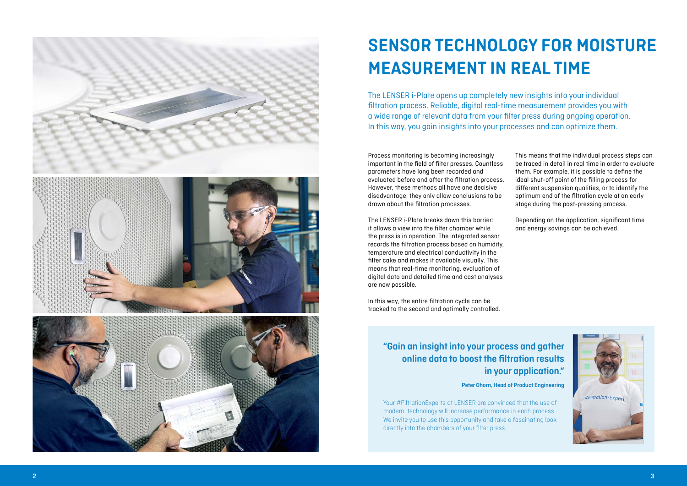## **"Gain an insight into your process and gather online data to boost the filtration results in your application."**

#### **Peter Ohorn, Head of Product Engineering**

Your #FiltrationExperts at LENSER are convinced that the use of modern technology will increase performance in each process. We invite you to use this opportunity and take a fascinating look directly into the chambers of your filter press.



## **SENSOR TECHNOLOGY FOR MOISTURE MEASUREMENT IN REAL TIME**

The LENSER i-Plate opens up completely new insights into your individual filtration process. Reliable, digital real-time measurement provides you with a wide range of relevant data from your filter press during ongoing operation. In this way, you gain insights into your processes and can optimize them.

Process monitoring is becoming increasingly important in the field of filter presses. Countless parameters have long been recorded and evaluated before and after the filtration process. However, these methods all have one decisive disadvantage: they only allow conclusions to be drawn about the filtration processes.

The LENSER i-Plate breaks down this barrier: it allows a view into the filter chamber while the press is in operation. The integrated sensor records the filtration process based on humidity, temperature and electrical conductivity in the filter cake and makes it available visually. This means that real-time monitoring, evaluation of digital data and detailed time and cost analyses are now possible.

In this way, the entire filtration cycle can be tracked to the second and optimally controlled. This means that the individual process steps can be traced in detail in real time in order to evaluate them. For example, it is possible to define the ideal shut-off point of the filling process for different suspension qualities, or to identify the optimum end of the filtration cycle at an early stage during the post-pressing process.

Depending on the application, significant time and energy savings can be achieved.

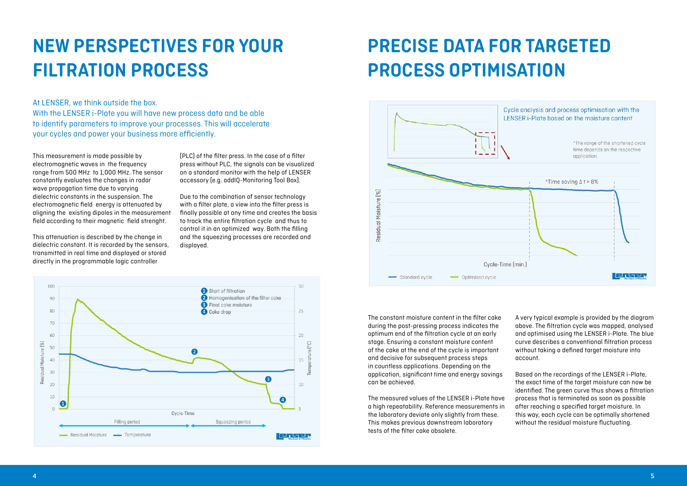## **NEW PERSPECTIVES FOR YOUR FILTRATION PROCESS**

#### At LENSER, we think outside the box. With the LENSER i-Plate you will have new process data and be able to identify parameters to improve your processes. This will accelerate your cycles and power your business more efficiently.

This measurement is made possible by electromagnetic waves in the frequency range from 500 MHz to 1,000 MHz. The sensor constantly evaluates the changes in radar wave propagation time due to varying dielectric constants in the suspension. The electromagnetic field energy is attenuated by aligning the existing dipoles in the measurement field according to their magnetic field strenght.

This attenuation is described by the change in dielectric constant. It is recorded by the sensors, transmitted in real time and displayed or stored directly in the programmable logic controller

(PLC) of the filter press. In the case of a filter press without PLC, the signals can be visualized on a standard monitor with the help of LENSER accessory (e.g. addIQ-Monitoring Tool Box).

Due to the combination of sensor technology with a filter plate, a view into the filter press is finally possible at any time and creates the basis to track the entire filtration cycle and thus to control it in an optimized way. Both the filling and the squeezing processes are recorded and displayed.







The constant moisture content in the filter cake during the post-pressing process indicates the optimum end of the filtration cycle at an early stage. Ensuring a constant moisture content of the cake at the end of the cycle is important and decisive for subsequent process steps in countless applications. Depending on the application, significant time and energy savings can be achieved.

The measured values of the LENSER i-Plate have a high repeatability. Reference measurements in the laboratory deviate only slightly from these. This makes previous downstream laboratory tests of the filter cake obsolete.

A very typical example is provided by the diagram above. The filtration cycle was mapped, analysed and optimised using the LENSER i-Plate. The blue curve describes a conventional filtration process without taking a defined target moisture into account.

Based on the recordings of the LENSER i-Plate, the exact time of the target moisture can now be identified. The green curve thus shows a filtration process that is terminated as soon as possible after reaching a specified target moisture. In this way, each cycle can be optimally shortened without the residual moisture fluctuating.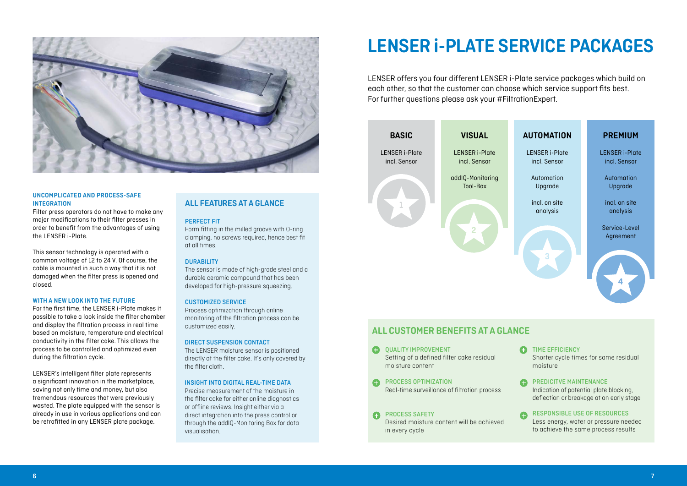



#### DIRECT SUSPENSION CONTACT

The LENSER moisture sensor is positioned directly at the filter cake. It's only covered by the filter cloth.

#### INSIGHT INTO DIGITAL REAL-TIME DATA

Precise measurement of the moisture in the filter cake for either online diagnostics or offline reviews. Insight either via a direct integration into the press control or through the addIQ-Monitoring Box for data visualisation.

#### PERFECT FIT

Form fitting in the milled groove with O-ring clamping, no screws required, hence best fit at all times.

#### **DURABILITY**

The sensor is made of high-grade steel and a durable ceramic compound that has been developed for high-pressure squeezing.

#### CUSTOMIZED SERVICE

Process optimization through online monitoring of the filtration process can be customized easily.

#### **ALL FEATURES AT A GLANCE**



#### **UNCOMPLICATED AND PROCESS-SAFE INTEGRATION**

Filter press operators do not have to make any major modifications to their filter presses in order to benefit from the advantages of using the LENSER i-Plate.

This sensor technology is operated with a common voltage of 12 to 24 V. Of course, the cable is mounted in such a way that it is not damaged when the filter press is opened and closed.

#### **WITH A NEW LOOK INTO THE FUTURE**

For the first time, the LENSER i-Plate makes it possible to take a look inside the filter chamber and display the filtration process in real time based on moisture, temperature and electrical conductivity in the filter cake. This allows the process to be controlled and optimized even during the filtration cycle.

LENSER's intelligent filter plate represents a significant innovation in the marketplace, saving not only time and money, but also tremendous resources that were previously wasted. The plate equipped with the sensor is already in use in various applications and can be retrofitted in any LENSER plate package.

## **LENSER i-PLATE SERVICE PACKAGES**

LENSER offers you four different LENSER i-Plate service packages which build on each other, so that the customer can choose which service support fits best. For further questions please ask your #FiltrationExpert.



QUALITY IMPROVEMENT Setting of a defined filter cake residual moisture content

PROCESS OPTIMIZATION  $\bullet$ Real-time surveillance of filtration process

PROCESS SAFETY Desired moisture content will be achieved in every cycle

### **ALL CUSTOMER BENEFITS AT A GLANCE**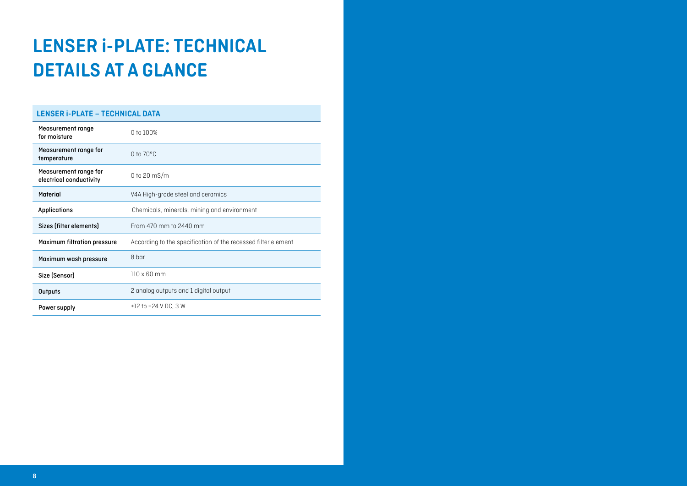| <b>LENSER i-PLATE - TECHNICAL DATA</b>           |                                                               |  |
|--------------------------------------------------|---------------------------------------------------------------|--|
| <b>Measurement range</b><br>for moisture         | 0 to 100%                                                     |  |
| Measurement range for<br>temperature             | $0$ to $70^{\circ}$ C                                         |  |
| Measurement range for<br>electrical conductivity | 0 to 20 $ms/m$                                                |  |
| <b>Material</b>                                  | V4A High-grade steel and ceramics                             |  |
| <b>Applications</b>                              | Chemicals, minerals, mining and environment                   |  |
| Sizes (filter elements)                          | From 470 mm to 2440 mm                                        |  |
| <b>Maximum filtration pressure</b>               | According to the specification of the recessed filter element |  |
| Maximum wash pressure                            | 8 bar                                                         |  |
| Size (Sensor)                                    | $110 \times 60$ mm                                            |  |
| <b>Outputs</b>                                   | 2 analog outputs and 1 digital output                         |  |
| Power supply                                     | $+12$ to $+24$ V DC, 3 W                                      |  |

# **LENSER i-PLATE: TECHNICAL DETAILS AT A GLANCE**